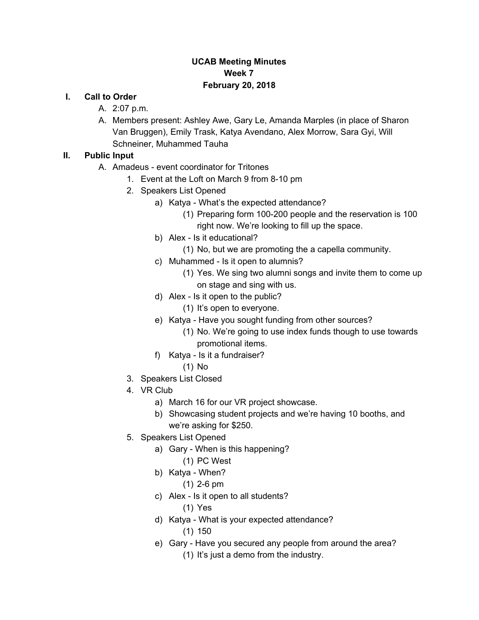### **UCAB Meeting Minutes Week 7 February 20, 2018**

#### **I. Call to Order**

- A. 2:07 p.m.
- A. Members present: Ashley Awe, Gary Le, Amanda Marples (in place of Sharon Van Bruggen), Emily Trask, Katya Avendano, Alex Morrow, Sara Gyi, Will Schneiner, Muhammed Tauha

### **II. Public Input**

- A. Amadeus event coordinator for Tritones
	- 1. Event at the Loft on March 9 from 8-10 pm
	- 2. Speakers List Opened
		- a) Katya What's the expected attendance?
			- (1) Preparing form 100-200 people and the reservation is 100 right now. We're looking to fill up the space.
		- b) Alex Is it educational?
			- (1) No, but we are promoting the a capella community.
		- c) Muhammed Is it open to alumnis?
			- (1) Yes. We sing two alumni songs and invite them to come up on stage and sing with us.
		- d) Alex Is it open to the public?
			- (1) It's open to everyone.
		- e) Katya Have you sought funding from other sources?
			- (1) No. We're going to use index funds though to use towards promotional items.
		- f) Katya Is it a fundraiser?
			- (1) No
	- 3. Speakers List Closed
	- 4. VR Club
		- a) March 16 for our VR project showcase.
		- b) Showcasing student projects and we're having 10 booths, and we're asking for \$250.
	- 5. Speakers List Opened
		- a) Gary When is this happening?
			- (1) PC West
		- b) Katya When?
			- (1) 2-6 pm
		- c) Alex Is it open to all students?
			- (1) Yes
		- d) Katya What is your expected attendance? (1) 150
		- e) Gary Have you secured any people from around the area? (1) It's just a demo from the industry.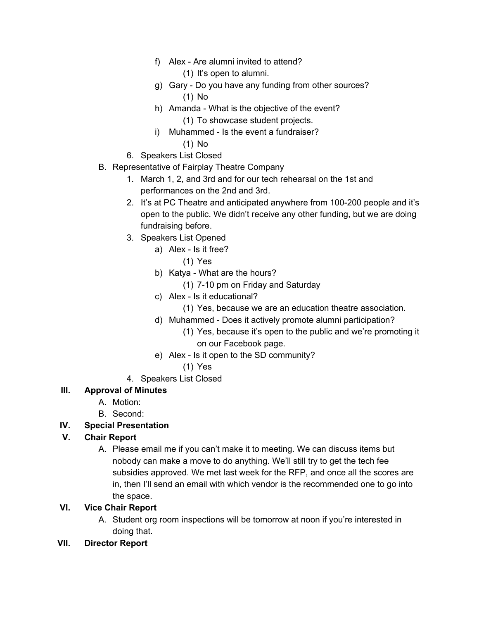f) Alex - Are alumni invited to attend?

(1) It's open to alumni.

- g) Gary Do you have any funding from other sources? (1) No
- h) Amanda What is the objective of the event?
	- (1) To showcase student projects.
- i) Muhammed Is the event a fundraiser?
	- (1) No
- 6. Speakers List Closed
- B. Representative of Fairplay Theatre Company
	- 1. March 1, 2, and 3rd and for our tech rehearsal on the 1st and performances on the 2nd and 3rd.
	- 2. It's at PC Theatre and anticipated anywhere from 100-200 people and it's open to the public. We didn't receive any other funding, but we are doing fundraising before.
	- 3. Speakers List Opened
		- a) Alex Is it free?
			- (1) Yes
		- b) Katya What are the hours?
			- (1) 7-10 pm on Friday and Saturday
		- c) Alex Is it educational?
			- (1) Yes, because we are an education theatre association.
		- d) Muhammed Does it actively promote alumni participation?
			- (1) Yes, because it's open to the public and we're promoting it on our Facebook page.
		- e) Alex Is it open to the SD community?
			- (1) Yes
	- 4. Speakers List Closed

# **III. Approval of Minutes**

- A. Motion:
- B. Second:

# **IV. Special Presentation**

#### **V. Chair Report**

A. Please email me if you can't make it to meeting. We can discuss items but nobody can make a move to do anything. We'll still try to get the tech fee subsidies approved. We met last week for the RFP, and once all the scores are in, then I'll send an email with which vendor is the recommended one to go into the space.

#### **VI. Vice Chair Report**

- A. Student org room inspections will be tomorrow at noon if you're interested in doing that.
- **VII. Director Report**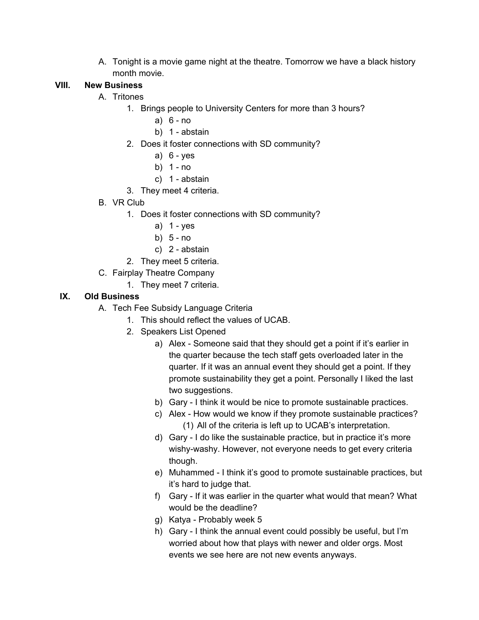A. Tonight is a movie game night at the theatre. Tomorrow we have a black history month movie.

### **VIII. New Business**

### A. Tritones

- 1. Brings people to University Centers for more than 3 hours?
	- a) 6 no
	- b) 1 abstain
- 2. Does it foster connections with SD community?
	- a) 6 yes
	- b) 1 no
	- c) 1 abstain
- 3. They meet 4 criteria.
- B. VR Club
	- 1. Does it foster connections with SD community?
		- a)  $1 yes$
		- b) 5 no
		- c) 2 abstain
	- 2. They meet 5 criteria.
- C. Fairplay Theatre Company
	- 1. They meet 7 criteria.

# **IX. Old Business**

- A. Tech Fee Subsidy Language Criteria
	- 1. This should reflect the values of UCAB.
	- 2. Speakers List Opened
		- a) Alex Someone said that they should get a point if it's earlier in the quarter because the tech staff gets overloaded later in the quarter. If it was an annual event they should get a point. If they promote sustainability they get a point. Personally I liked the last two suggestions.
		- b) Gary I think it would be nice to promote sustainable practices.
		- c) Alex How would we know if they promote sustainable practices? (1) All of the criteria is left up to UCAB's interpretation.
		- d) Gary I do like the sustainable practice, but in practice it's more wishy-washy. However, not everyone needs to get every criteria though.
		- e) Muhammed I think it's good to promote sustainable practices, but it's hard to judge that.
		- f) Gary If it was earlier in the quarter what would that mean? What would be the deadline?
		- g) Katya Probably week 5
		- h) Gary I think the annual event could possibly be useful, but I'm worried about how that plays with newer and older orgs. Most events we see here are not new events anyways.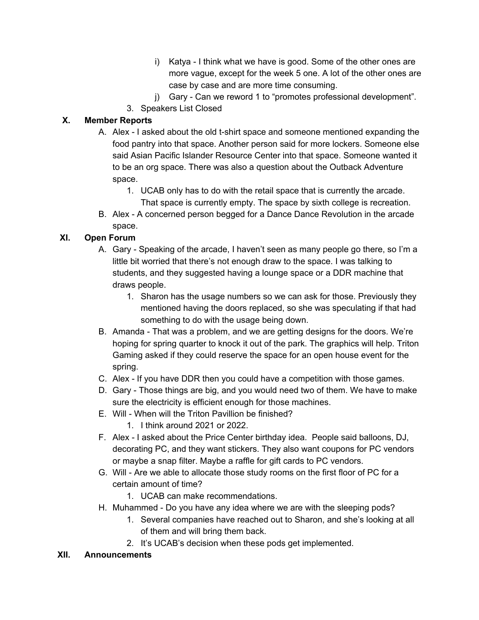- i) Katya I think what we have is good. Some of the other ones are more vague, except for the week 5 one. A lot of the other ones are case by case and are more time consuming.
- j) Gary Can we reword 1 to "promotes professional development".
- 3. Speakers List Closed

### **X. Member Reports**

- A. Alex I asked about the old t-shirt space and someone mentioned expanding the food pantry into that space. Another person said for more lockers. Someone else said Asian Pacific Islander Resource Center into that space. Someone wanted it to be an org space. There was also a question about the Outback Adventure space.
	- 1. UCAB only has to do with the retail space that is currently the arcade. That space is currently empty. The space by sixth college is recreation.
- B. Alex A concerned person begged for a Dance Dance Revolution in the arcade space.

# **XI. Open Forum**

- A. Gary Speaking of the arcade, I haven't seen as many people go there, so I'm a little bit worried that there's not enough draw to the space. I was talking to students, and they suggested having a lounge space or a DDR machine that draws people.
	- 1. Sharon has the usage numbers so we can ask for those. Previously they mentioned having the doors replaced, so she was speculating if that had something to do with the usage being down.
- B. Amanda That was a problem, and we are getting designs for the doors. We're hoping for spring quarter to knock it out of the park. The graphics will help. Triton Gaming asked if they could reserve the space for an open house event for the spring.
- C. Alex If you have DDR then you could have a competition with those games.
- D. Gary Those things are big, and you would need two of them. We have to make sure the electricity is efficient enough for those machines.
- E. Will When will the Triton Pavillion be finished?
	- 1. I think around 2021 or 2022.
- F. Alex I asked about the Price Center birthday idea. People said balloons, DJ, decorating PC, and they want stickers. They also want coupons for PC vendors or maybe a snap filter. Maybe a raffle for gift cards to PC vendors.
- G. Will Are we able to allocate those study rooms on the first floor of PC for a certain amount of time?
	- 1. UCAB can make recommendations.
- H. Muhammed Do you have any idea where we are with the sleeping pods?
	- 1. Several companies have reached out to Sharon, and she's looking at all of them and will bring them back.
	- 2. It's UCAB's decision when these pods get implemented.

#### **XII. Announcements**